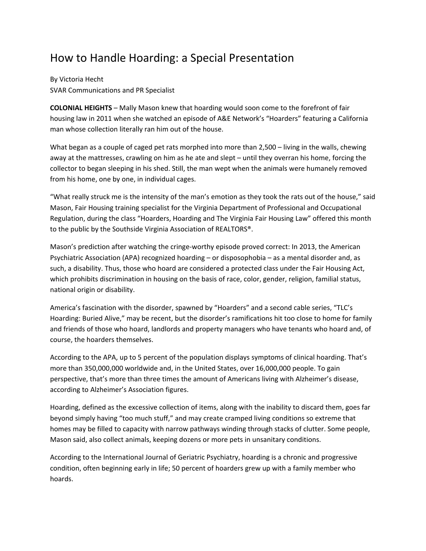## How to Handle Hoarding: a Special Presentation

By Victoria Hecht SVAR Communications and PR Specialist

**COLONIAL HEIGHTS** – Mally Mason knew that hoarding would soon come to the forefront of fair housing law in 2011 when she watched an episode of A&E Network's "Hoarders" featuring a California man whose collection literally ran him out of the house.

What began as a couple of caged pet rats morphed into more than 2,500 – living in the walls, chewing away at the mattresses, crawling on him as he ate and slept – until they overran his home, forcing the collector to began sleeping in his shed. Still, the man wept when the animals were humanely removed from his home, one by one, in individual cages.

"What really struck me is the intensity of the man's emotion as they took the rats out of the house," said Mason, Fair Housing training specialist for the Virginia Department of Professional and Occupational Regulation, during the class "Hoarders, Hoarding and The Virginia Fair Housing Law" offered this month to the public by the Southside Virginia Association of REALTORS®.

Mason's prediction after watching the cringe‐worthy episode proved correct: In 2013, the American Psychiatric Association (APA) recognized hoarding – or disposophobia – as a mental disorder and, as such, a disability. Thus, those who hoard are considered a protected class under the Fair Housing Act, which prohibits discrimination in housing on the basis of race, color, gender, religion, familial status, national origin or disability.

America's fascination with the disorder, spawned by "Hoarders" and a second cable series, "TLC's Hoarding: Buried Alive," may be recent, but the disorder's ramifications hit too close to home for family and friends of those who hoard, landlords and property managers who have tenants who hoard and, of course, the hoarders themselves.

According to the APA, up to 5 percent of the population displays symptoms of clinical hoarding. That's more than 350,000,000 worldwide and, in the United States, over 16,000,000 people. To gain perspective, that's more than three times the amount of Americans living with Alzheimer's disease, according to Alzheimer's Association figures.

Hoarding, defined as the excessive collection of items, along with the inability to discard them, goes far beyond simply having "too much stuff," and may create cramped living conditions so extreme that homes may be filled to capacity with narrow pathways winding through stacks of clutter. Some people, Mason said, also collect animals, keeping dozens or more pets in unsanitary conditions.

According to the International Journal of Geriatric Psychiatry, hoarding is a chronic and progressive condition, often beginning early in life; 50 percent of hoarders grew up with a family member who hoards.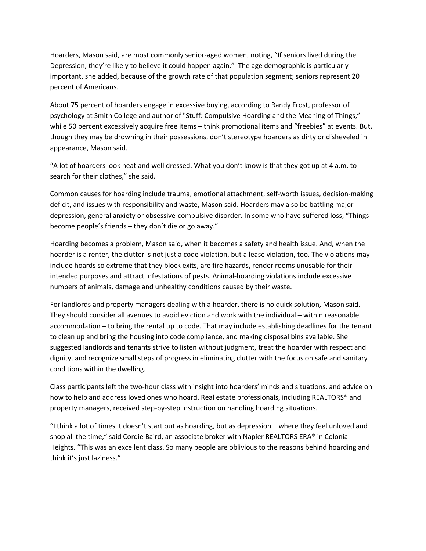Hoarders, Mason said, are most commonly senior‐aged women, noting, "If seniors lived during the Depression, they're likely to believe it could happen again." The age demographic is particularly important, she added, because of the growth rate of that population segment; seniors represent 20 percent of Americans.

About 75 percent of hoarders engage in excessive buying, according to Randy Frost, professor of psychology at Smith College and author of "Stuff: Compulsive Hoarding and the Meaning of Things," while 50 percent excessively acquire free items – think promotional items and "freebies" at events. But, though they may be drowning in their possessions, don't stereotype hoarders as dirty or disheveled in appearance, Mason said.

"A lot of hoarders look neat and well dressed. What you don't know is that they got up at 4 a.m. to search for their clothes," she said.

Common causes for hoarding include trauma, emotional attachment, self‐worth issues, decision‐making deficit, and issues with responsibility and waste, Mason said. Hoarders may also be battling major depression, general anxiety or obsessive-compulsive disorder. In some who have suffered loss, "Things become people's friends – they don't die or go away."

Hoarding becomes a problem, Mason said, when it becomes a safety and health issue. And, when the hoarder is a renter, the clutter is not just a code violation, but a lease violation, too. The violations may include hoards so extreme that they block exits, are fire hazards, render rooms unusable for their intended purposes and attract infestations of pests. Animal‐hoarding violations include excessive numbers of animals, damage and unhealthy conditions caused by their waste.

For landlords and property managers dealing with a hoarder, there is no quick solution, Mason said. They should consider all avenues to avoid eviction and work with the individual – within reasonable accommodation – to bring the rental up to code. That may include establishing deadlines for the tenant to clean up and bring the housing into code compliance, and making disposal bins available. She suggested landlords and tenants strive to listen without judgment, treat the hoarder with respect and dignity, and recognize small steps of progress in eliminating clutter with the focus on safe and sanitary conditions within the dwelling.

Class participants left the two‐hour class with insight into hoarders' minds and situations, and advice on how to help and address loved ones who hoard. Real estate professionals, including REALTORS® and property managers, received step‐by‐step instruction on handling hoarding situations.

"I think a lot of times it doesn't start out as hoarding, but as depression – where they feel unloved and shop all the time," said Cordie Baird, an associate broker with Napier REALTORS ERA® in Colonial Heights. "This was an excellent class. So many people are oblivious to the reasons behind hoarding and think it's just laziness."